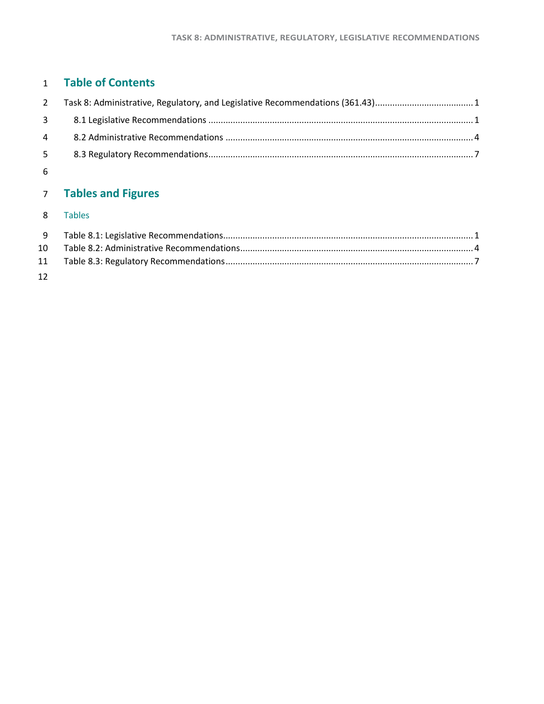### **Table of Contents**

| 2 Task 8: Administrative, Regulatory, and Legislative Recommendations (361.43)1 |  |
|---------------------------------------------------------------------------------|--|
|                                                                                 |  |
|                                                                                 |  |
|                                                                                 |  |
|                                                                                 |  |

### **Tables and Figures**

#### Tables

| $10-10$ |  |
|---------|--|
|         |  |
| 12      |  |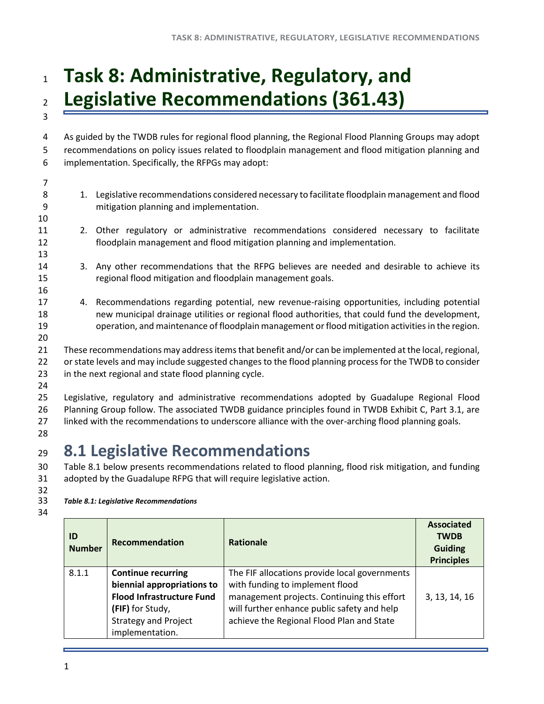### <span id="page-1-0"></span><sup>1</sup> **Task 8: Administrative, Regulatory, and**  <sup>2</sup> **Legislative Recommendations (361.43)** 3

4 As guided by the TWDB rules for regional flood planning, the Regional Flood Planning Groups may adopt 5 recommendations on policy issues related to floodplain management and flood mitigation planning and 6 implementation. Specifically, the RFPGs may adopt:

7

10

13

16

20

- 8 1. Legislative recommendations considered necessary to facilitate floodplain management and flood 9 mitigation planning and implementation.
- 11 2. Other regulatory or administrative recommendations considered necessary to facilitate 12 floodplain management and flood mitigation planning and implementation.
- 14 3. Any other recommendations that the RFPG believes are needed and desirable to achieve its 15 regional flood mitigation and floodplain management goals.
- 17 4. Recommendations regarding potential, new revenue-raising opportunities, including potential 18 new municipal drainage utilities or regional flood authorities, that could fund the development, 19 operation, and maintenance of floodplain management or flood mitigation activities in the region.
- 21 These recommendations may address items that benefit and/or can be implemented at the local, regional, 22 or state levels and may include suggested changes to the flood planning process for the TWDB to consider 23 in the next regional and state flood planning cycle.
- 24

25 Legislative, regulatory and administrative recommendations adopted by Guadalupe Regional Flood 26 Planning Group follow. The associated TWDB guidance principles found in TWDB Exhibit C, Part 3.1, are 27 linked with the recommendations to underscore alliance with the over-arching flood planning goals.

28

## <span id="page-1-1"></span><sup>29</sup> **8.1 Legislative Recommendations**

30 Table 8.1 below presents recommendations related to flood planning, flood risk mitigation, and funding 31 adopted by the Guadalupe RFPG that will require legislative action.

32<br>33

<span id="page-1-2"></span>33 *Table 8.1: Legislative Recommendations* 

| ш<br>۰.<br>۰.<br>× |
|--------------------|
|--------------------|

| <b>ID</b><br><b>Number</b> | <b>Recommendation</b>            | <b>Rationale</b>                              | <b>Associated</b><br><b>TWDB</b><br><b>Guiding</b><br><b>Principles</b> |
|----------------------------|----------------------------------|-----------------------------------------------|-------------------------------------------------------------------------|
| 8.1.1                      | <b>Continue recurring</b>        | The FIF allocations provide local governments |                                                                         |
|                            | biennial appropriations to       | with funding to implement flood               |                                                                         |
|                            | <b>Flood Infrastructure Fund</b> | management projects. Continuing this effort   | 3, 13, 14, 16                                                           |
|                            | (FIF) for Study,                 | will further enhance public safety and help   |                                                                         |
|                            | <b>Strategy and Project</b>      | achieve the Regional Flood Plan and State     |                                                                         |
|                            | implementation.                  |                                               |                                                                         |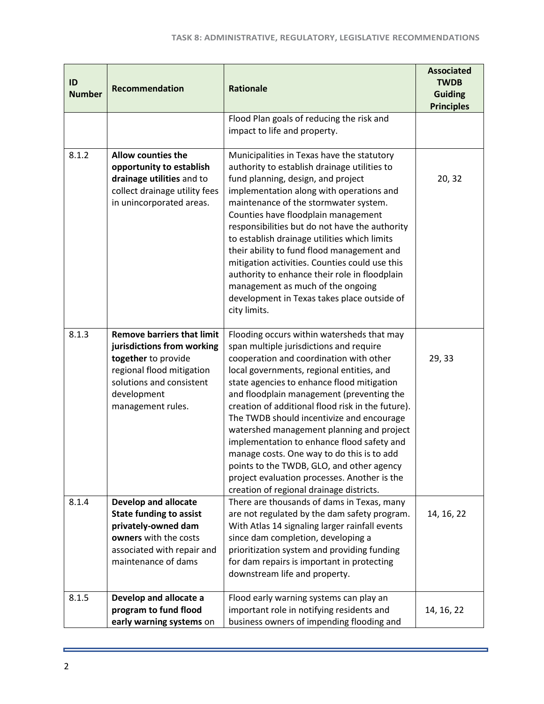| ID<br><b>Number</b> | Recommendation                                                                                                                                                                      | <b>Rationale</b>                                                                                                                                                                                                                                                                                                                                                                                                                                                                                                                                                                                                                                             | <b>Associated</b><br><b>TWDB</b><br><b>Guiding</b> |
|---------------------|-------------------------------------------------------------------------------------------------------------------------------------------------------------------------------------|--------------------------------------------------------------------------------------------------------------------------------------------------------------------------------------------------------------------------------------------------------------------------------------------------------------------------------------------------------------------------------------------------------------------------------------------------------------------------------------------------------------------------------------------------------------------------------------------------------------------------------------------------------------|----------------------------------------------------|
|                     |                                                                                                                                                                                     |                                                                                                                                                                                                                                                                                                                                                                                                                                                                                                                                                                                                                                                              | <b>Principles</b>                                  |
|                     |                                                                                                                                                                                     | Flood Plan goals of reducing the risk and<br>impact to life and property.                                                                                                                                                                                                                                                                                                                                                                                                                                                                                                                                                                                    |                                                    |
| 8.1.2               | <b>Allow counties the</b><br>opportunity to establish<br>drainage utilities and to<br>collect drainage utility fees<br>in unincorporated areas.                                     | Municipalities in Texas have the statutory<br>authority to establish drainage utilities to<br>fund planning, design, and project<br>implementation along with operations and<br>maintenance of the stormwater system.<br>Counties have floodplain management<br>responsibilities but do not have the authority<br>to establish drainage utilities which limits<br>their ability to fund flood management and<br>mitigation activities. Counties could use this<br>authority to enhance their role in floodplain<br>management as much of the ongoing<br>development in Texas takes place outside of<br>city limits.                                          | 20, 32                                             |
| 8.1.3               | <b>Remove barriers that limit</b><br>jurisdictions from working<br>together to provide<br>regional flood mitigation<br>solutions and consistent<br>development<br>management rules. | Flooding occurs within watersheds that may<br>span multiple jurisdictions and require<br>cooperation and coordination with other<br>local governments, regional entities, and<br>state agencies to enhance flood mitigation<br>and floodplain management (preventing the<br>creation of additional flood risk in the future).<br>The TWDB should incentivize and encourage<br>watershed management planning and project<br>implementation to enhance flood safety and<br>manage costs. One way to do this is to add<br>points to the TWDB, GLO, and other agency<br>project evaluation processes. Another is the<br>creation of regional drainage districts. | 29, 33                                             |
| 8.1.4               | <b>Develop and allocate</b><br><b>State funding to assist</b><br>privately-owned dam<br>owners with the costs<br>associated with repair and<br>maintenance of dams                  | There are thousands of dams in Texas, many<br>are not regulated by the dam safety program.<br>With Atlas 14 signaling larger rainfall events<br>since dam completion, developing a<br>prioritization system and providing funding<br>for dam repairs is important in protecting<br>downstream life and property.                                                                                                                                                                                                                                                                                                                                             | 14, 16, 22                                         |
| 8.1.5               | Develop and allocate a<br>program to fund flood<br>early warning systems on                                                                                                         | Flood early warning systems can play an<br>important role in notifying residents and<br>business owners of impending flooding and                                                                                                                                                                                                                                                                                                                                                                                                                                                                                                                            | 14, 16, 22                                         |

ä,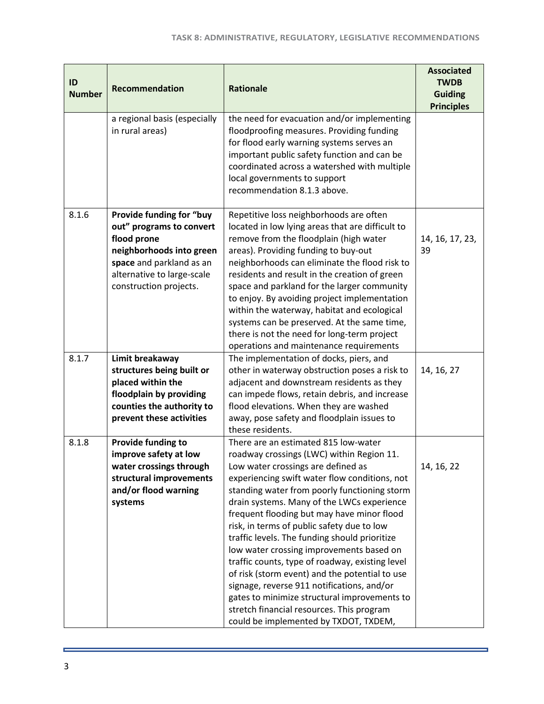| ID<br><b>Number</b> | Recommendation                                                                                                                                                                      | <b>Rationale</b>                                                                                                                                                                                                                                                                                                                                                                                                                                                                                                                                                                                                                                                                                                                                         | <b>Associated</b><br><b>TWDB</b><br><b>Guiding</b><br><b>Principles</b> |
|---------------------|-------------------------------------------------------------------------------------------------------------------------------------------------------------------------------------|----------------------------------------------------------------------------------------------------------------------------------------------------------------------------------------------------------------------------------------------------------------------------------------------------------------------------------------------------------------------------------------------------------------------------------------------------------------------------------------------------------------------------------------------------------------------------------------------------------------------------------------------------------------------------------------------------------------------------------------------------------|-------------------------------------------------------------------------|
|                     | a regional basis (especially<br>in rural areas)                                                                                                                                     | the need for evacuation and/or implementing<br>floodproofing measures. Providing funding<br>for flood early warning systems serves an<br>important public safety function and can be<br>coordinated across a watershed with multiple<br>local governments to support<br>recommendation 8.1.3 above.                                                                                                                                                                                                                                                                                                                                                                                                                                                      |                                                                         |
| 8.1.6               | Provide funding for "buy<br>out" programs to convert<br>flood prone<br>neighborhoods into green<br>space and parkland as an<br>alternative to large-scale<br>construction projects. | Repetitive loss neighborhoods are often<br>located in low lying areas that are difficult to<br>remove from the floodplain (high water<br>areas). Providing funding to buy-out<br>neighborhoods can eliminate the flood risk to<br>residents and result in the creation of green<br>space and parkland for the larger community<br>to enjoy. By avoiding project implementation<br>within the waterway, habitat and ecological<br>systems can be preserved. At the same time,<br>there is not the need for long-term project<br>operations and maintenance requirements                                                                                                                                                                                   | 14, 16, 17, 23,<br>39                                                   |
| 8.1.7               | Limit breakaway<br>structures being built or<br>placed within the<br>floodplain by providing<br>counties the authority to<br>prevent these activities                               | The implementation of docks, piers, and<br>other in waterway obstruction poses a risk to<br>adjacent and downstream residents as they<br>can impede flows, retain debris, and increase<br>flood elevations. When they are washed<br>away, pose safety and floodplain issues to<br>these residents.                                                                                                                                                                                                                                                                                                                                                                                                                                                       | 14, 16, 27                                                              |
| 8.1.8               | Provide funding to<br>improve safety at low<br>water crossings through<br>structural improvements<br>and/or flood warning<br>systems                                                | There are an estimated 815 low-water<br>roadway crossings (LWC) within Region 11.<br>Low water crossings are defined as<br>experiencing swift water flow conditions, not<br>standing water from poorly functioning storm<br>drain systems. Many of the LWCs experience<br>frequent flooding but may have minor flood<br>risk, in terms of public safety due to low<br>traffic levels. The funding should prioritize<br>low water crossing improvements based on<br>traffic counts, type of roadway, existing level<br>of risk (storm event) and the potential to use<br>signage, reverse 911 notifications, and/or<br>gates to minimize structural improvements to<br>stretch financial resources. This program<br>could be implemented by TXDOT, TXDEM, | 14, 16, 22                                                              |

ä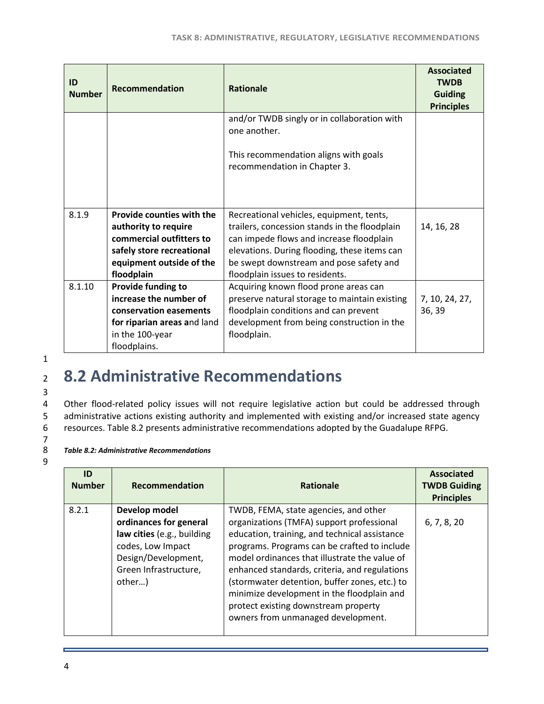| ID<br><b>Number</b> | <b>Recommendation</b>                            | <b>Rationale</b>                                                                                     | <b>Associated</b><br><b>TWDB</b><br><b>Guiding</b><br><b>Principles</b> |
|---------------------|--------------------------------------------------|------------------------------------------------------------------------------------------------------|-------------------------------------------------------------------------|
|                     |                                                  | and/or TWDB singly or in collaboration with<br>one another.<br>This recommendation aligns with goals |                                                                         |
|                     |                                                  | recommendation in Chapter 3.                                                                         |                                                                         |
| 8.1.9               | Provide counties with the                        | Recreational vehicles, equipment, tents,                                                             |                                                                         |
|                     | authority to require<br>commercial outfitters to | trailers, concession stands in the floodplain                                                        | 14, 16, 28                                                              |
|                     | safely store recreational                        | can impede flows and increase floodplain<br>elevations. During flooding, these items can             |                                                                         |
|                     | equipment outside of the                         | be swept downstream and pose safety and                                                              |                                                                         |
|                     | floodplain                                       | floodplain issues to residents.                                                                      |                                                                         |
| 8.1.10              | Provide funding to                               | Acquiring known flood prone areas can                                                                |                                                                         |
|                     | increase the number of                           | preserve natural storage to maintain existing                                                        | 7, 10, 24, 27,                                                          |
|                     | conservation easements                           | floodplain conditions and can prevent                                                                | 36, 39                                                                  |
|                     | for riparian areas and land                      | development from being construction in the                                                           |                                                                         |
|                     | in the 100-year                                  | floodplain.                                                                                          |                                                                         |
|                     | floodplains.                                     |                                                                                                      |                                                                         |

1 3

7

9

# <span id="page-4-0"></span><sup>2</sup> **8.2 Administrative Recommendations**

4 Other flood-related policy issues will not require legislative action but could be addressed through 5 administrative actions existing authority and implemented with existing and/or increased state agency 6 resources. Table 8.2 presents administrative recommendations adopted by the Guadalupe RFPG.

#### <span id="page-4-1"></span>8 *Table 8.2: Administrative Recommendations*

| ID<br><b>Number</b> | <b>Recommendation</b>                                                                                                                                | <b>Rationale</b>                                                                                                                                                                                                                                                                                                                                                                                                                                                   | <b>Associated</b><br><b>TWDB Guiding</b><br><b>Principles</b> |
|---------------------|------------------------------------------------------------------------------------------------------------------------------------------------------|--------------------------------------------------------------------------------------------------------------------------------------------------------------------------------------------------------------------------------------------------------------------------------------------------------------------------------------------------------------------------------------------------------------------------------------------------------------------|---------------------------------------------------------------|
| 8.2.1               | Develop model<br>ordinances for general<br>law cities (e.g., building<br>codes, Low Impact<br>Design/Development,<br>Green Infrastructure,<br>other) | TWDB, FEMA, state agencies, and other<br>organizations (TMFA) support professional<br>education, training, and technical assistance<br>programs. Programs can be crafted to include<br>model ordinances that illustrate the value of<br>enhanced standards, criteria, and regulations<br>(stormwater detention, buffer zones, etc.) to<br>minimize development in the floodplain and<br>protect existing downstream property<br>owners from unmanaged development. | 6, 7, 8, 20                                                   |

4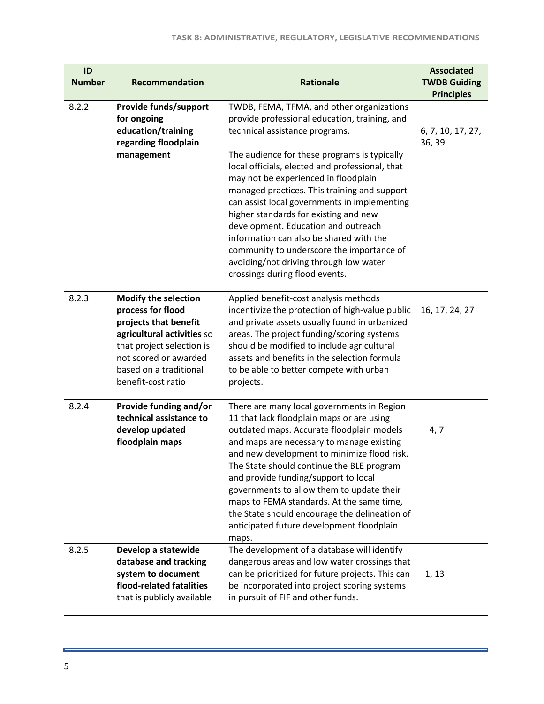| ID<br><b>Number</b> | Recommendation                                                                                                                                                                                                | <b>Rationale</b>                                                                                                                                                                                                                                                                                                                                                                                                                                                                                                                                                                                                            | <b>Associated</b><br><b>TWDB Guiding</b><br><b>Principles</b> |
|---------------------|---------------------------------------------------------------------------------------------------------------------------------------------------------------------------------------------------------------|-----------------------------------------------------------------------------------------------------------------------------------------------------------------------------------------------------------------------------------------------------------------------------------------------------------------------------------------------------------------------------------------------------------------------------------------------------------------------------------------------------------------------------------------------------------------------------------------------------------------------------|---------------------------------------------------------------|
| 8.2.2               | Provide funds/support<br>for ongoing<br>education/training<br>regarding floodplain<br>management                                                                                                              | TWDB, FEMA, TFMA, and other organizations<br>provide professional education, training, and<br>technical assistance programs.<br>The audience for these programs is typically<br>local officials, elected and professional, that<br>may not be experienced in floodplain<br>managed practices. This training and support<br>can assist local governments in implementing<br>higher standards for existing and new<br>development. Education and outreach<br>information can also be shared with the<br>community to underscore the importance of<br>avoiding/not driving through low water<br>crossings during flood events. | 6, 7, 10, 17, 27,<br>36, 39                                   |
| 8.2.3               | <b>Modify the selection</b><br>process for flood<br>projects that benefit<br>agricultural activities so<br>that project selection is<br>not scored or awarded<br>based on a traditional<br>benefit-cost ratio | Applied benefit-cost analysis methods<br>incentivize the protection of high-value public<br>and private assets usually found in urbanized<br>areas. The project funding/scoring systems<br>should be modified to include agricultural<br>assets and benefits in the selection formula<br>to be able to better compete with urban<br>projects.                                                                                                                                                                                                                                                                               | 16, 17, 24, 27                                                |
| 8.2.4               | Provide funding and/or<br>technical assistance to<br>develop updated<br>floodplain maps                                                                                                                       | There are many local governments in Region<br>11 that lack floodplain maps or are using<br>outdated maps. Accurate floodplain models<br>and maps are necessary to manage existing<br>and new development to minimize flood risk.<br>The State should continue the BLE program<br>and provide funding/support to local<br>governments to allow them to update their<br>maps to FEMA standards. At the same time,<br>the State should encourage the delineation of<br>anticipated future development floodplain<br>maps.                                                                                                      | 4, 7                                                          |
| 8.2.5               | Develop a statewide<br>database and tracking<br>system to document<br>flood-related fatalities<br>that is publicly available                                                                                  | The development of a database will identify<br>dangerous areas and low water crossings that<br>can be prioritized for future projects. This can<br>be incorporated into project scoring systems<br>in pursuit of FIF and other funds.                                                                                                                                                                                                                                                                                                                                                                                       | 1, 13                                                         |

ä,

 $\equiv$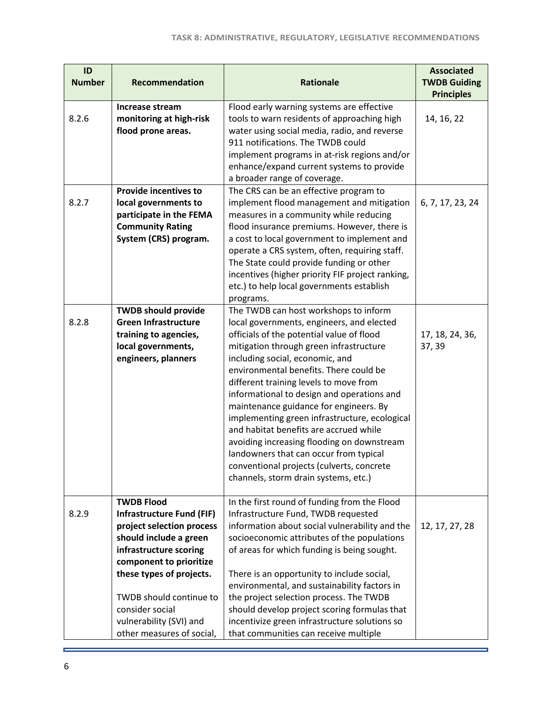| ID<br><b>Number</b> | <b>Recommendation</b>                                                                                                                                                                                                                                                                               | <b>Rationale</b>                                                                                                                                                                                                                                                                                                                                                                                                                                                                                                                                                                                                                                                  | <b>Associated</b><br><b>TWDB Guiding</b><br><b>Principles</b> |
|---------------------|-----------------------------------------------------------------------------------------------------------------------------------------------------------------------------------------------------------------------------------------------------------------------------------------------------|-------------------------------------------------------------------------------------------------------------------------------------------------------------------------------------------------------------------------------------------------------------------------------------------------------------------------------------------------------------------------------------------------------------------------------------------------------------------------------------------------------------------------------------------------------------------------------------------------------------------------------------------------------------------|---------------------------------------------------------------|
| 8.2.6               | Increase stream<br>monitoring at high-risk<br>flood prone areas.                                                                                                                                                                                                                                    | Flood early warning systems are effective<br>tools to warn residents of approaching high<br>water using social media, radio, and reverse<br>911 notifications. The TWDB could<br>implement programs in at-risk regions and/or<br>enhance/expand current systems to provide<br>a broader range of coverage.                                                                                                                                                                                                                                                                                                                                                        | 14, 16, 22                                                    |
| 8.2.7               | <b>Provide incentives to</b><br>local governments to<br>participate in the FEMA<br><b>Community Rating</b><br>System (CRS) program.                                                                                                                                                                 | The CRS can be an effective program to<br>implement flood management and mitigation<br>measures in a community while reducing<br>flood insurance premiums. However, there is<br>a cost to local government to implement and<br>operate a CRS system, often, requiring staff.<br>The State could provide funding or other<br>incentives (higher priority FIF project ranking,<br>etc.) to help local governments establish<br>programs.                                                                                                                                                                                                                            | 6, 7, 17, 23, 24                                              |
| 8.2.8               | <b>TWDB should provide</b><br><b>Green Infrastructure</b><br>training to agencies,<br>local governments,<br>engineers, planners                                                                                                                                                                     | The TWDB can host workshops to inform<br>local governments, engineers, and elected<br>officials of the potential value of flood<br>mitigation through green infrastructure<br>including social, economic, and<br>environmental benefits. There could be<br>different training levels to move from<br>informational to design and operations and<br>maintenance guidance for engineers. By<br>implementing green infrastructure, ecological<br>and habitat benefits are accrued while<br>avoiding increasing flooding on downstream<br>landowners that can occur from typical<br>conventional projects (culverts, concrete<br>channels, storm drain systems, etc.) | 17, 18, 24, 36,<br>37, 39                                     |
| 8.2.9               | <b>TWDB Flood</b><br><b>Infrastructure Fund (FIF)</b><br>project selection process<br>should include a green<br>infrastructure scoring<br>component to prioritize<br>these types of projects.<br>TWDB should continue to<br>consider social<br>vulnerability (SVI) and<br>other measures of social, | In the first round of funding from the Flood<br>Infrastructure Fund, TWDB requested<br>information about social vulnerability and the<br>socioeconomic attributes of the populations<br>of areas for which funding is being sought.<br>There is an opportunity to include social,<br>environmental, and sustainability factors in<br>the project selection process. The TWDB<br>should develop project scoring formulas that<br>incentivize green infrastructure solutions so<br>that communities can receive multiple                                                                                                                                            | 12, 17, 27, 28                                                |

ä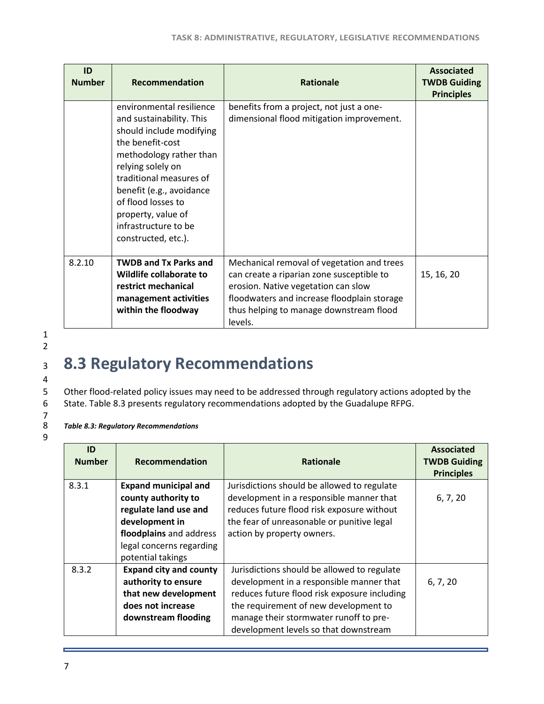| ID<br><b>Number</b> | Recommendation                                                                                                                                                                                                                                                                                         | <b>Rationale</b>                                                                                                                                                                                                                    | <b>Associated</b><br><b>TWDB Guiding</b><br><b>Principles</b> |
|---------------------|--------------------------------------------------------------------------------------------------------------------------------------------------------------------------------------------------------------------------------------------------------------------------------------------------------|-------------------------------------------------------------------------------------------------------------------------------------------------------------------------------------------------------------------------------------|---------------------------------------------------------------|
|                     | environmental resilience<br>and sustainability. This<br>should include modifying<br>the benefit-cost<br>methodology rather than<br>relying solely on<br>traditional measures of<br>benefit (e.g., avoidance<br>of flood losses to<br>property, value of<br>infrastructure to be<br>constructed, etc.). | benefits from a project, not just a one-<br>dimensional flood mitigation improvement.                                                                                                                                               |                                                               |
| 8.2.10              | <b>TWDB and Tx Parks and</b><br>Wildlife collaborate to<br>restrict mechanical<br>management activities<br>within the floodway                                                                                                                                                                         | Mechanical removal of vegetation and trees<br>can create a riparian zone susceptible to<br>erosion. Native vegetation can slow<br>floodwaters and increase floodplain storage<br>thus helping to manage downstream flood<br>levels. | 15, 16, 20                                                    |

9

# <span id="page-7-0"></span><sup>3</sup> **8.3 Regulatory Recommendations**

5 Other flood-related policy issues may need to be addressed through regulatory actions adopted by the<br>6 State. Table 8.3 presents regulatory recommendations adopted by the Guadalupe RFPG. 6 State. Table 8.3 presents regulatory recommendations adopted by the Guadalupe RFPG.

#### <span id="page-7-1"></span>8 *Table 8.3: Regulatory Recommendations*

| ID<br><b>Number</b> | Recommendation                                                                                                                                                            | <b>Rationale</b>                                                                                                                                                                                                                                                    | <b>Associated</b><br><b>TWDB Guiding</b><br><b>Principles</b> |
|---------------------|---------------------------------------------------------------------------------------------------------------------------------------------------------------------------|---------------------------------------------------------------------------------------------------------------------------------------------------------------------------------------------------------------------------------------------------------------------|---------------------------------------------------------------|
| 8.3.1               | <b>Expand municipal and</b><br>county authority to<br>regulate land use and<br>development in<br>floodplains and address<br>legal concerns regarding<br>potential takings | Jurisdictions should be allowed to regulate<br>development in a responsible manner that<br>reduces future flood risk exposure without<br>the fear of unreasonable or punitive legal<br>action by property owners.                                                   | 6, 7, 20                                                      |
| 8.3.2               | <b>Expand city and county</b><br>authority to ensure<br>that new development<br>does not increase<br>downstream flooding                                                  | Jurisdictions should be allowed to regulate<br>development in a responsible manner that<br>reduces future flood risk exposure including<br>the requirement of new development to<br>manage their stormwater runoff to pre-<br>development levels so that downstream | 6, 7, 20                                                      |

7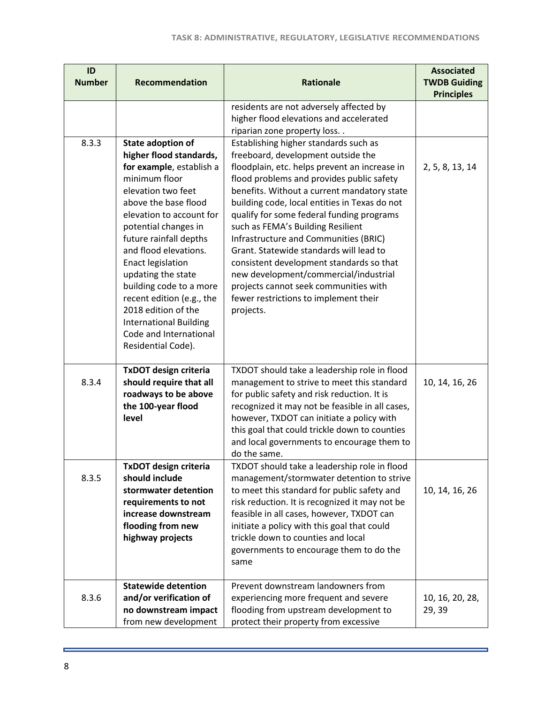| ID<br><b>Number</b> | Recommendation                                                                                                                                                                                                                                                                                                                                                                                                                                                          | <b>Rationale</b>                                                                                                                                                                                                                                                                                                                                                                                                                                                                                                                                                                                                                    | <b>Associated</b><br><b>TWDB Guiding</b> |
|---------------------|-------------------------------------------------------------------------------------------------------------------------------------------------------------------------------------------------------------------------------------------------------------------------------------------------------------------------------------------------------------------------------------------------------------------------------------------------------------------------|-------------------------------------------------------------------------------------------------------------------------------------------------------------------------------------------------------------------------------------------------------------------------------------------------------------------------------------------------------------------------------------------------------------------------------------------------------------------------------------------------------------------------------------------------------------------------------------------------------------------------------------|------------------------------------------|
|                     |                                                                                                                                                                                                                                                                                                                                                                                                                                                                         | residents are not adversely affected by<br>higher flood elevations and accelerated                                                                                                                                                                                                                                                                                                                                                                                                                                                                                                                                                  | <b>Principles</b>                        |
|                     |                                                                                                                                                                                                                                                                                                                                                                                                                                                                         | riparian zone property loss                                                                                                                                                                                                                                                                                                                                                                                                                                                                                                                                                                                                         |                                          |
| 8.3.3               | <b>State adoption of</b><br>higher flood standards,<br>for example, establish a<br>minimum floor<br>elevation two feet<br>above the base flood<br>elevation to account for<br>potential changes in<br>future rainfall depths<br>and flood elevations.<br><b>Enact legislation</b><br>updating the state<br>building code to a more<br>recent edition (e.g., the<br>2018 edition of the<br><b>International Building</b><br>Code and International<br>Residential Code). | Establishing higher standards such as<br>freeboard, development outside the<br>floodplain, etc. helps prevent an increase in<br>flood problems and provides public safety<br>benefits. Without a current mandatory state<br>building code, local entities in Texas do not<br>qualify for some federal funding programs<br>such as FEMA's Building Resilient<br>Infrastructure and Communities (BRIC)<br>Grant. Statewide standards will lead to<br>consistent development standards so that<br>new development/commercial/industrial<br>projects cannot seek communities with<br>fewer restrictions to implement their<br>projects. | 2, 5, 8, 13, 14                          |
| 8.3.4               | <b>TxDOT design criteria</b><br>should require that all<br>roadways to be above<br>the 100-year flood<br>level                                                                                                                                                                                                                                                                                                                                                          | TXDOT should take a leadership role in flood<br>management to strive to meet this standard<br>for public safety and risk reduction. It is<br>recognized it may not be feasible in all cases,<br>however, TXDOT can initiate a policy with<br>this goal that could trickle down to counties<br>and local governments to encourage them to<br>do the same.                                                                                                                                                                                                                                                                            | 10, 14, 16, 26                           |
| 8.3.5               | <b>TxDOT design criteria</b><br>should include<br>stormwater detention<br>requirements to not<br>increase downstream<br>flooding from new<br>highway projects                                                                                                                                                                                                                                                                                                           | TXDOT should take a leadership role in flood<br>management/stormwater detention to strive<br>to meet this standard for public safety and<br>risk reduction. It is recognized it may not be<br>feasible in all cases, however, TXDOT can<br>initiate a policy with this goal that could<br>trickle down to counties and local<br>governments to encourage them to do the<br>same                                                                                                                                                                                                                                                     | 10, 14, 16, 26                           |
| 8.3.6               | <b>Statewide detention</b><br>and/or verification of<br>no downstream impact<br>from new development                                                                                                                                                                                                                                                                                                                                                                    | Prevent downstream landowners from<br>experiencing more frequent and severe<br>flooding from upstream development to<br>protect their property from excessive                                                                                                                                                                                                                                                                                                                                                                                                                                                                       | 10, 16, 20, 28,<br>29, 39                |

ä